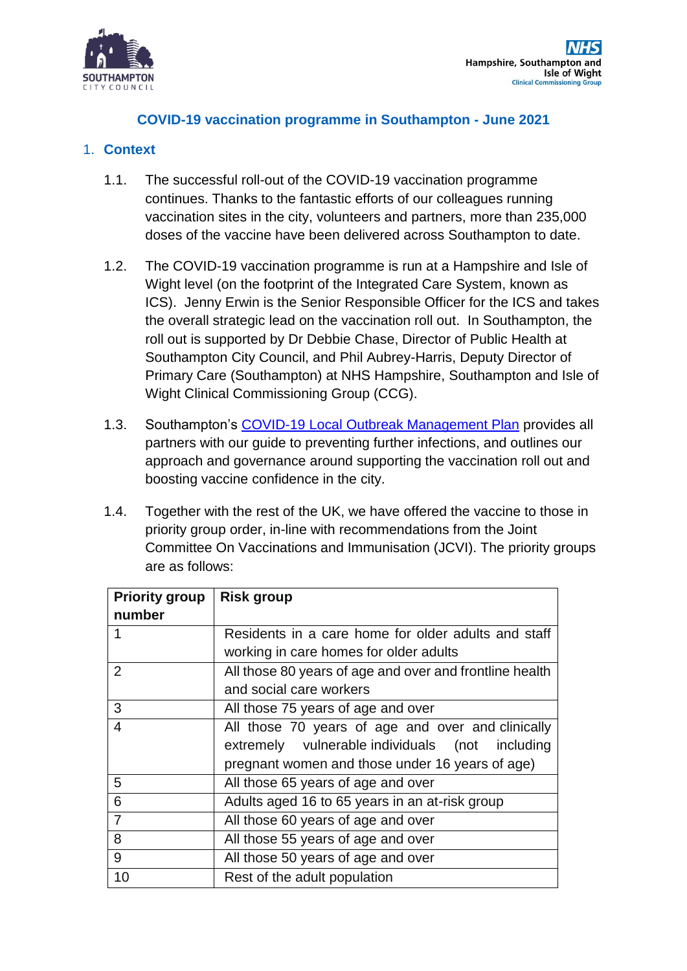

### **COVID-19 vaccination programme in Southampton - June 2021**

#### 1. **Context**

- 1.1. The successful roll-out of the COVID-19 vaccination programme continues. Thanks to the fantastic efforts of our colleagues running vaccination sites in the city, volunteers and partners, more than 235,000 doses of the vaccine have been delivered across Southampton to date.
- 1.2. The COVID-19 vaccination programme is run at a Hampshire and Isle of Wight level (on the footprint of the Integrated Care System, known as ICS). Jenny Erwin is the Senior Responsible Officer for the ICS and takes the overall strategic lead on the vaccination roll out. In Southampton, the roll out is supported by Dr Debbie Chase, Director of Public Health at Southampton City Council, and Phil Aubrey-Harris, Deputy Director of Primary Care (Southampton) at NHS Hampshire, Southampton and Isle of Wight Clinical Commissioning Group (CCG).
- 1.3. Southampton's [COVID-19 Local Outbreak Management Plan](https://www.southampton.gov.uk/images/outbreakmanagementplan_southampton_tcm63-428938.pdf) provides all partners with our guide to preventing further infections, and outlines our approach and governance around supporting the vaccination roll out and boosting vaccine confidence in the city.
- 1.4. Together with the rest of the UK, we have offered the vaccine to those in priority group order, in-line with recommendations from the Joint Committee On Vaccinations and Immunisation (JCVI). The priority groups are as follows:

| <b>Priority group</b> | <b>Risk group</b>                                       |  |
|-----------------------|---------------------------------------------------------|--|
| number                |                                                         |  |
|                       | Residents in a care home for older adults and staff     |  |
|                       | working in care homes for older adults                  |  |
| 2                     | All those 80 years of age and over and frontline health |  |
|                       | and social care workers                                 |  |
| 3                     | All those 75 years of age and over                      |  |
| 4                     | All those 70 years of age and over and clinically       |  |
|                       | extremely vulnerable individuals (not<br>including      |  |
|                       | pregnant women and those under 16 years of age)         |  |
| 5                     | All those 65 years of age and over                      |  |
| 6                     | Adults aged 16 to 65 years in an at-risk group          |  |
| $\overline{7}$        | All those 60 years of age and over                      |  |
| 8                     | All those 55 years of age and over                      |  |
| 9                     | All those 50 years of age and over                      |  |
| 10                    | Rest of the adult population                            |  |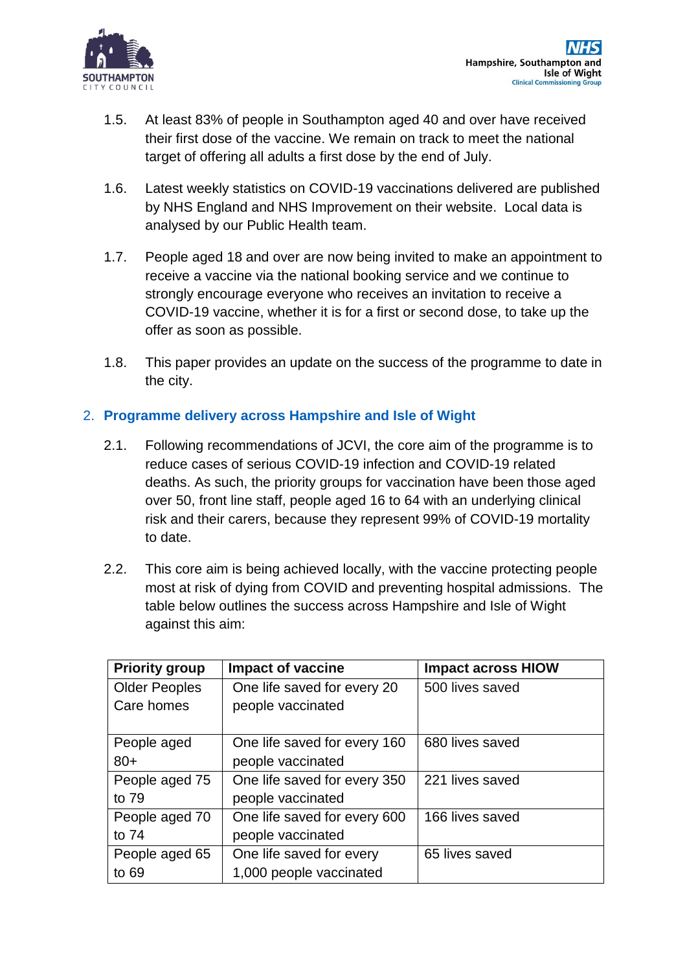

- 1.5. At least 83% of people in Southampton aged 40 and over have received their first dose of the vaccine. We remain on track to meet the national target of offering all adults a first dose by the end of July.
- 1.6. Latest weekly statistics on COVID-19 vaccinations delivered are published by NHS England and NHS Improvement on their website. Local data is analysed by our Public Health team.
- 1.7. People aged 18 and over are now being invited to make an appointment to receive a vaccine via the national booking service and we continue to strongly encourage everyone who receives an invitation to receive a COVID-19 vaccine, whether it is for a first or second dose, to take up the offer as soon as possible.
- 1.8. This paper provides an update on the success of the programme to date in the city.

# 2. **Programme delivery across Hampshire and Isle of Wight**

- 2.1. Following recommendations of JCVI, the core aim of the programme is to reduce cases of serious COVID-19 infection and COVID-19 related deaths. As such, the priority groups for vaccination have been those aged over 50, front line staff, people aged 16 to 64 with an underlying clinical risk and their carers, because they represent 99% of COVID-19 mortality to date.
- 2.2. This core aim is being achieved locally, with the vaccine protecting people most at risk of dying from COVID and preventing hospital admissions. The table below outlines the success across Hampshire and Isle of Wight against this aim:

| <b>Priority group</b> | Impact of vaccine            | <b>Impact across HIOW</b> |
|-----------------------|------------------------------|---------------------------|
| <b>Older Peoples</b>  | One life saved for every 20  | 500 lives saved           |
| Care homes            | people vaccinated            |                           |
|                       |                              |                           |
| People aged           | One life saved for every 160 | 680 lives saved           |
| $80+$                 | people vaccinated            |                           |
| People aged 75        | One life saved for every 350 | 221 lives saved           |
| to 79                 | people vaccinated            |                           |
| People aged 70        | One life saved for every 600 | 166 lives saved           |
| to 74                 | people vaccinated            |                           |
| People aged 65        | One life saved for every     | 65 lives saved            |
| to 69                 | 1,000 people vaccinated      |                           |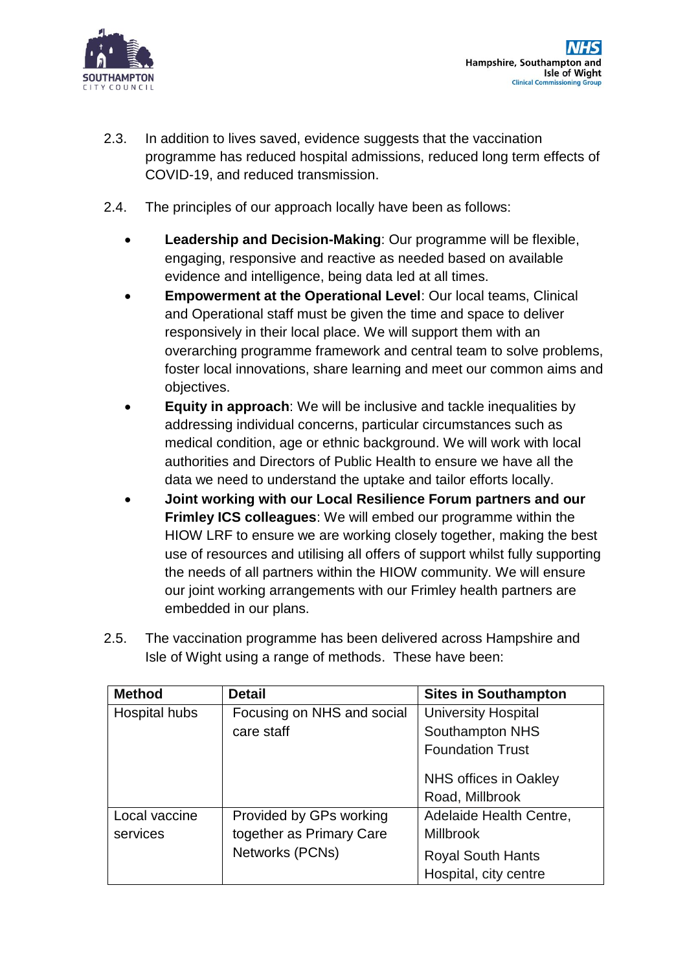

Hampshire, Southampton and Isle of Wight **Clinical Commissioning Group** 

- 2.3. In addition to lives saved, evidence suggests that the vaccination programme has reduced hospital admissions, reduced long term effects of COVID-19, and reduced transmission.
- 2.4. The principles of our approach locally have been as follows:
	- **Leadership and Decision-Making**: Our programme will be flexible, engaging, responsive and reactive as needed based on available evidence and intelligence, being data led at all times.
	- **Empowerment at the Operational Level**: Our local teams, Clinical and Operational staff must be given the time and space to deliver responsively in their local place. We will support them with an overarching programme framework and central team to solve problems, foster local innovations, share learning and meet our common aims and objectives.
	- **Equity in approach**: We will be inclusive and tackle inequalities by addressing individual concerns, particular circumstances such as medical condition, age or ethnic background. We will work with local authorities and Directors of Public Health to ensure we have all the data we need to understand the uptake and tailor efforts locally.
	- **Joint working with our Local Resilience Forum partners and our Frimley ICS colleagues**: We will embed our programme within the HIOW LRF to ensure we are working closely together, making the best use of resources and utilising all offers of support whilst fully supporting the needs of all partners within the HIOW community. We will ensure our joint working arrangements with our Frimley health partners are embedded in our plans.

| <b>Method</b> | <b>Detail</b>              | <b>Sites in Southampton</b>                       |
|---------------|----------------------------|---------------------------------------------------|
| Hospital hubs | Focusing on NHS and social | <b>University Hospital</b>                        |
|               | care staff                 | <b>Southampton NHS</b>                            |
|               |                            | <b>Foundation Trust</b>                           |
|               |                            | NHS offices in Oakley                             |
|               |                            | Road, Millbrook                                   |
| Local vaccine | Provided by GPs working    | Adelaide Health Centre,                           |
| services      | together as Primary Care   | <b>Millbrook</b>                                  |
|               | Networks (PCNs)            | <b>Royal South Hants</b><br>Hospital, city centre |

2.5. The vaccination programme has been delivered across Hampshire and Isle of Wight using a range of methods. These have been: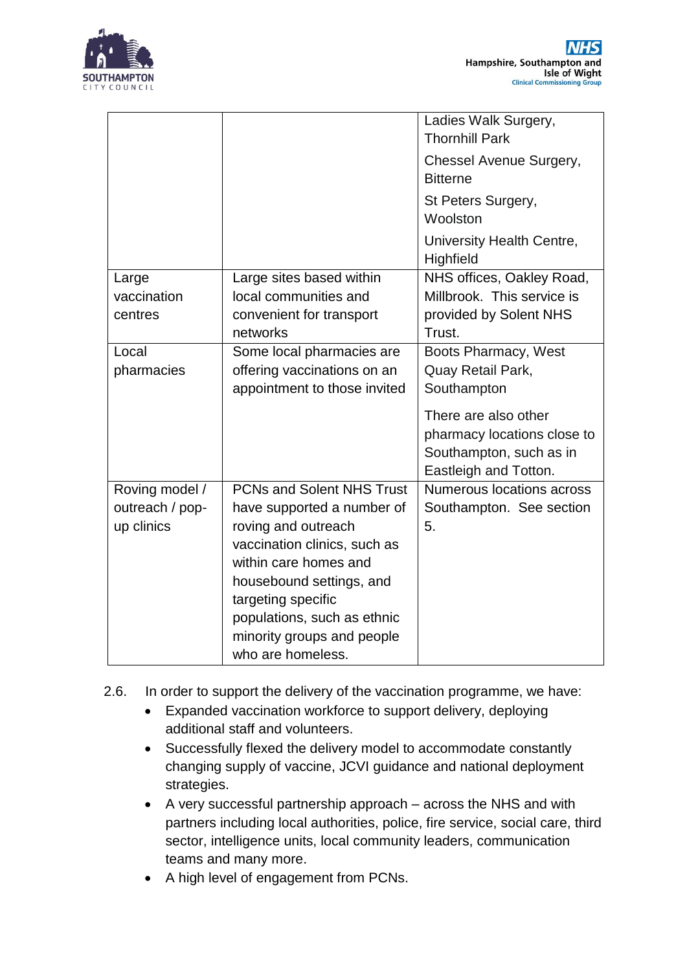

|                 |                                  | Ladies Walk Surgery,<br><b>Thornhill Park</b> |
|-----------------|----------------------------------|-----------------------------------------------|
|                 |                                  | Chessel Avenue Surgery,<br><b>Bitterne</b>    |
|                 |                                  | St Peters Surgery,<br>Woolston                |
|                 |                                  | University Health Centre,<br>Highfield        |
| Large           | Large sites based within         | NHS offices, Oakley Road,                     |
| vaccination     | local communities and            | Millbrook. This service is                    |
| centres         | convenient for transport         | provided by Solent NHS                        |
|                 | networks                         | Trust.                                        |
| Local           | Some local pharmacies are        | Boots Pharmacy, West                          |
| pharmacies      | offering vaccinations on an      | Quay Retail Park,                             |
|                 | appointment to those invited     | Southampton                                   |
|                 |                                  | There are also other                          |
|                 |                                  | pharmacy locations close to                   |
|                 |                                  | Southampton, such as in                       |
|                 |                                  | Eastleigh and Totton.                         |
| Roving model /  | <b>PCNs and Solent NHS Trust</b> | <b>Numerous locations across</b>              |
| outreach / pop- | have supported a number of       | Southampton. See section                      |
| up clinics      | roving and outreach              | 5.                                            |
|                 | vaccination clinics, such as     |                                               |
|                 | within care homes and            |                                               |
|                 | housebound settings, and         |                                               |
|                 | targeting specific               |                                               |
|                 | populations, such as ethnic      |                                               |
|                 | minority groups and people       |                                               |
|                 | who are homeless.                |                                               |

- 2.6. In order to support the delivery of the vaccination programme, we have:
	- Expanded vaccination workforce to support delivery, deploying additional staff and volunteers.
	- Successfully flexed the delivery model to accommodate constantly changing supply of vaccine, JCVI guidance and national deployment strategies.
	- A very successful partnership approach across the NHS and with partners including local authorities, police, fire service, social care, third sector, intelligence units, local community leaders, communication teams and many more.
	- A high level of engagement from PCNs.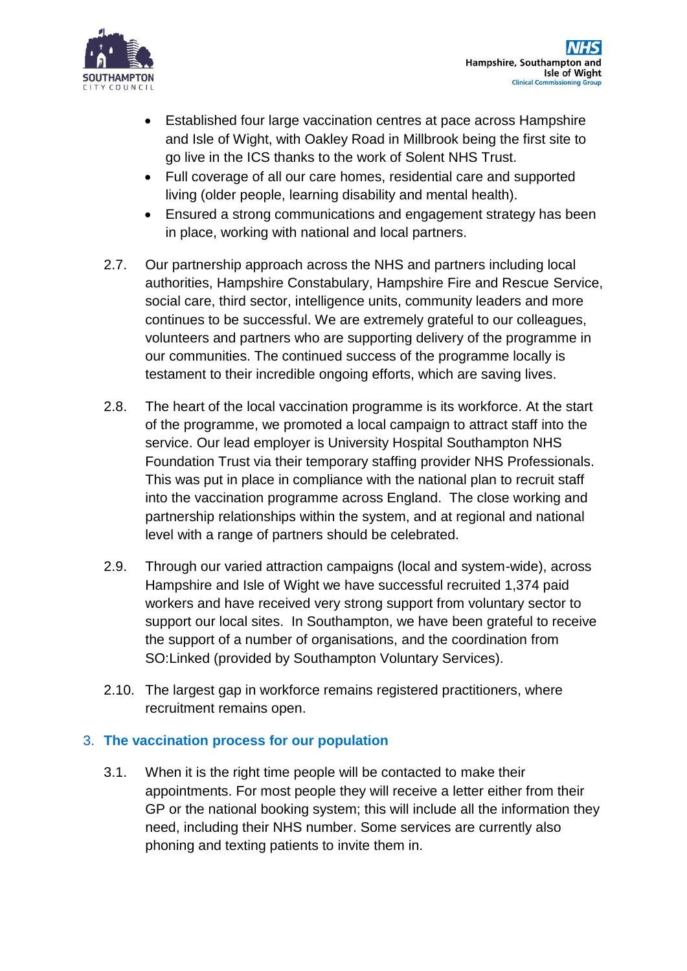

- Established four large vaccination centres at pace across Hampshire and Isle of Wight, with Oakley Road in Millbrook being the first site to go live in the ICS thanks to the work of Solent NHS Trust.
- Full coverage of all our care homes, residential care and supported living (older people, learning disability and mental health).
- Ensured a strong communications and engagement strategy has been in place, working with national and local partners.
- 2.7. Our partnership approach across the NHS and partners including local authorities, Hampshire Constabulary, Hampshire Fire and Rescue Service, social care, third sector, intelligence units, community leaders and more continues to be successful. We are extremely grateful to our colleagues, volunteers and partners who are supporting delivery of the programme in our communities. The continued success of the programme locally is testament to their incredible ongoing efforts, which are saving lives.
- 2.8. The heart of the local vaccination programme is its workforce. At the start of the programme, we promoted a local campaign to attract staff into the service. Our lead employer is University Hospital Southampton NHS Foundation Trust via their temporary staffing provider NHS Professionals. This was put in place in compliance with the national plan to recruit staff into the vaccination programme across England. The close working and partnership relationships within the system, and at regional and national level with a range of partners should be celebrated.
- 2.9. Through our varied attraction campaigns (local and system-wide), across Hampshire and Isle of Wight we have successful recruited 1,374 paid workers and have received very strong support from voluntary sector to support our local sites. In Southampton, we have been grateful to receive the support of a number of organisations, and the coordination from SO:Linked (provided by Southampton Voluntary Services).
- 2.10. The largest gap in workforce remains registered practitioners, where recruitment remains open.

### 3. **The vaccination process for our population**

3.1. When it is the right time people will be contacted to make their appointments. For most people they will receive a letter either from their GP or the national booking system; this will include all the information they need, including their NHS number. Some services are currently also phoning and texting patients to invite them in.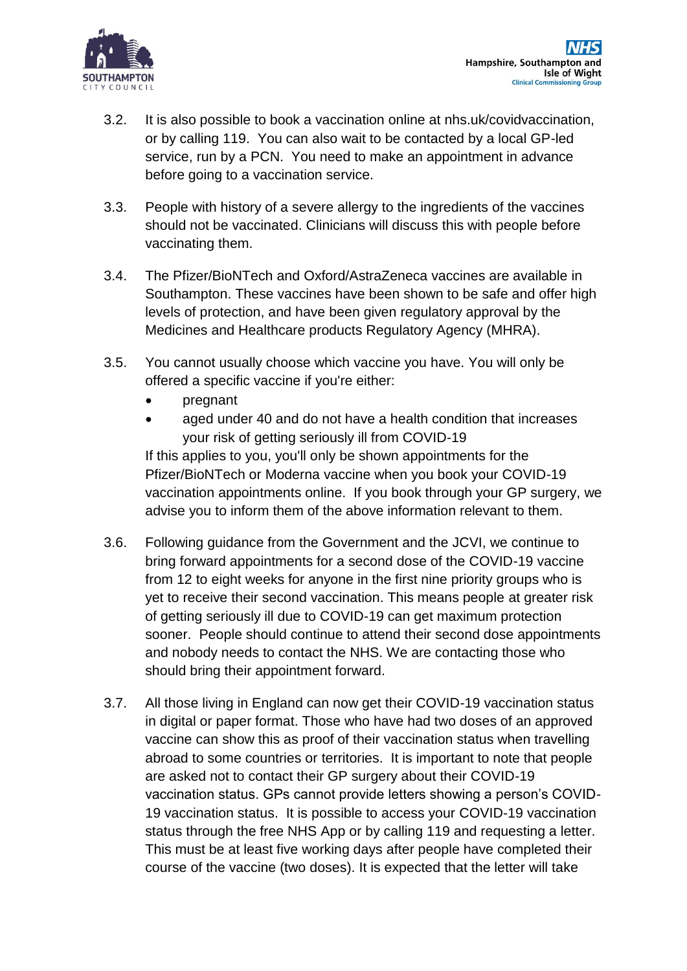

- 3.2. It is also possible to book a vaccination online at nhs.uk/covidvaccination, or by calling 119. You can also wait to be contacted by a local GP-led service, run by a PCN. You need to make an appointment in advance before going to a vaccination service.
- 3.3. People with history of a severe allergy to the ingredients of the vaccines should not be vaccinated. Clinicians will discuss this with people before vaccinating them.
- 3.4. The Pfizer/BioNTech and Oxford/AstraZeneca vaccines are available in Southampton. These vaccines have been shown to be safe and offer high levels of protection, and have been given regulatory approval by the Medicines and Healthcare products Regulatory Agency (MHRA).
- 3.5. You cannot usually choose which vaccine you have. You will only be offered a specific vaccine if you're either:
	- pregnant
	- aged under 40 and do not have a health condition that increases your risk of getting seriously ill from COVID-19 If this applies to you, you'll only be shown appointments for the Pfizer/BioNTech or Moderna vaccine when you book your COVID-19 vaccination appointments online. If you book through your GP surgery, we advise you to inform them of the above information relevant to them.
- 3.6. Following guidance from the Government and the JCVI, we continue to bring forward appointments for a second dose of the COVID-19 vaccine from 12 to eight weeks for anyone in the first nine priority groups who is yet to receive their second vaccination. This means people at greater risk of getting seriously ill due to COVID-19 can get maximum protection sooner. People should continue to attend their second dose appointments and nobody needs to contact the NHS. We are contacting those who should bring their appointment forward.
- 3.7. All those living in England can now get their COVID-19 vaccination status in digital or paper format. Those who have had two doses of an approved vaccine can show this as proof of their vaccination status when travelling abroad to some countries or territories. It is important to note that people are asked not to contact their GP surgery about their COVID-19 vaccination status. GPs cannot provide letters showing a person's COVID-19 vaccination status. It is possible to access your COVID-19 vaccination status through the free NHS App or by calling 119 and requesting a letter. This must be at least five working days after people have completed their course of the vaccine (two doses). It is expected that the letter will take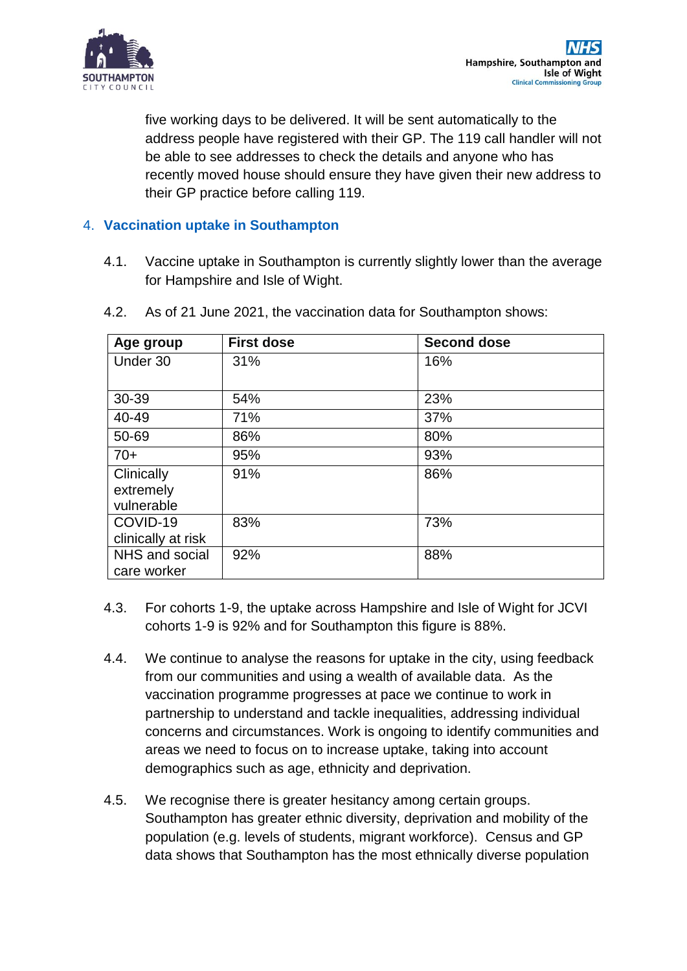

five working days to be delivered. It will be sent automatically to the address people have registered with their GP. The 119 call handler will not be able to see addresses to check the details and anyone who has recently moved house should ensure they have given their new address to their GP practice before calling 119.

## 4. **Vaccination uptake in Southampton**

4.1. Vaccine uptake in Southampton is currently slightly lower than the average for Hampshire and Isle of Wight.

| Age group          | <b>First dose</b> | <b>Second dose</b> |
|--------------------|-------------------|--------------------|
| Under 30           | 31%               | 16%                |
|                    |                   |                    |
| 30-39              | 54%               | 23%                |
| 40-49              | 71%               | 37%                |
| 50-69              | 86%               | 80%                |
| $70+$              | 95%               | 93%                |
| Clinically         | 91%               | 86%                |
| extremely          |                   |                    |
| vulnerable         |                   |                    |
| COVID-19           | 83%               | 73%                |
| clinically at risk |                   |                    |
| NHS and social     | 92%               | 88%                |
| care worker        |                   |                    |

4.2. As of 21 June 2021, the vaccination data for Southampton shows:

- 4.3. For cohorts 1-9, the uptake across Hampshire and Isle of Wight for JCVI cohorts 1-9 is 92% and for Southampton this figure is 88%.
- 4.4. We continue to analyse the reasons for uptake in the city, using feedback from our communities and using a wealth of available data. As the vaccination programme progresses at pace we continue to work in partnership to understand and tackle inequalities, addressing individual concerns and circumstances. Work is ongoing to identify communities and areas we need to focus on to increase uptake, taking into account demographics such as age, ethnicity and deprivation.
- 4.5. We recognise there is greater hesitancy among certain groups. Southampton has greater ethnic diversity, deprivation and mobility of the population (e.g. levels of students, migrant workforce). Census and GP data shows that Southampton has the most ethnically diverse population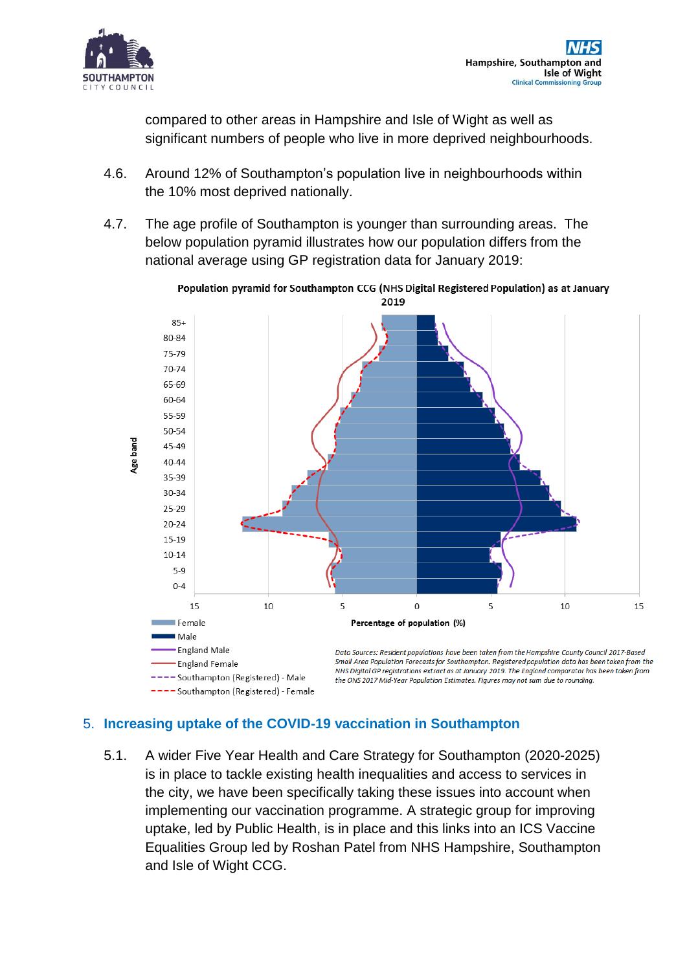

compared to other areas in Hampshire and Isle of Wight as well as significant numbers of people who live in more deprived neighbourhoods.

- 4.6. Around 12% of Southampton's population live in neighbourhoods within the 10% most deprived nationally.
- 4.7. The age profile of Southampton is younger than surrounding areas. The below population pyramid illustrates how our population differs from the national average using GP registration data for January 2019:



Population pyramid for Southampton CCG (NHS Digital Registered Population) as at January

### 5. **Increasing uptake of the COVID-19 vaccination in Southampton**

5.1. A wider Five Year Health and Care Strategy for Southampton (2020-2025) is in place to tackle existing health inequalities and access to services in the city, we have been specifically taking these issues into account when implementing our vaccination programme. A strategic group for improving uptake, led by Public Health, is in place and this links into an ICS Vaccine Equalities Group led by Roshan Patel from NHS Hampshire, Southampton and Isle of Wight CCG.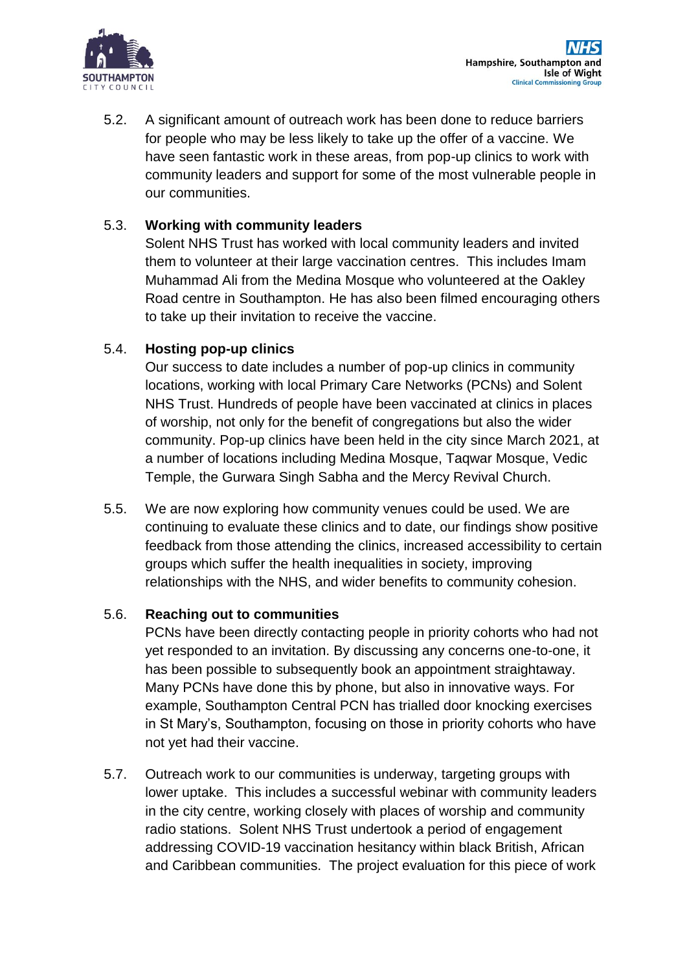

5.2. A significant amount of outreach work has been done to reduce barriers for people who may be less likely to take up the offer of a vaccine. We have seen fantastic work in these areas, from pop-up clinics to work with community leaders and support for some of the most vulnerable people in our communities.

## 5.3. **Working with community leaders**

Solent NHS Trust has worked with local community leaders and invited them to volunteer at their large vaccination centres. This includes Imam Muhammad Ali from the Medina Mosque who volunteered at the Oakley Road centre in Southampton. He has also been filmed encouraging others to take up their invitation to receive the vaccine.

# 5.4. **Hosting pop-up clinics**

Our success to date includes a number of pop-up clinics in community locations, working with local Primary Care Networks (PCNs) and Solent NHS Trust. Hundreds of people have been vaccinated at clinics in places of worship, not only for the benefit of congregations but also the wider community. Pop-up clinics have been held in the city since March 2021, at a number of locations including Medina Mosque, Taqwar Mosque, Vedic Temple, the Gurwara Singh Sabha and the Mercy Revival Church.

5.5. We are now exploring how community venues could be used. We are continuing to evaluate these clinics and to date, our findings show positive feedback from those attending the clinics, increased accessibility to certain groups which suffer the health inequalities in society, improving relationships with the NHS, and wider benefits to community cohesion.

# 5.6. **Reaching out to communities**

PCNs have been directly contacting people in priority cohorts who had not yet responded to an invitation. By discussing any concerns one-to-one, it has been possible to subsequently book an appointment straightaway. Many PCNs have done this by phone, but also in innovative ways. For example, Southampton Central PCN has trialled door knocking exercises in St Mary's, Southampton, focusing on those in priority cohorts who have not yet had their vaccine.

5.7. Outreach work to our communities is underway, targeting groups with lower uptake. This includes a successful webinar with community leaders in the city centre, working closely with places of worship and community radio stations. Solent NHS Trust undertook a period of engagement addressing COVID-19 vaccination hesitancy within black British, African and Caribbean communities. The project evaluation for this piece of work